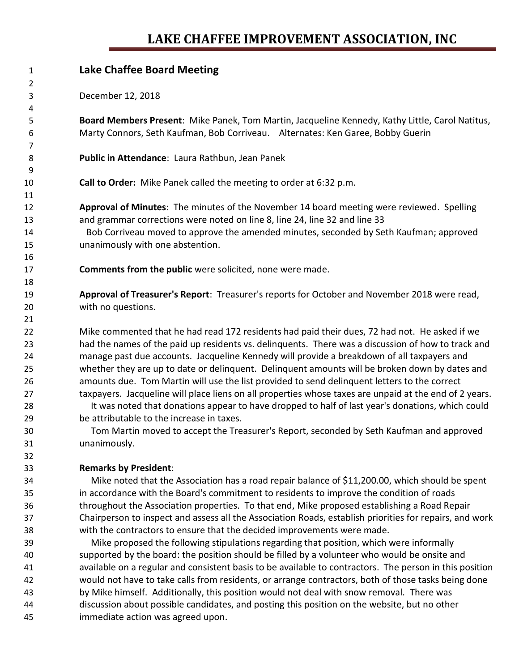# **LAKE CHAFFEE IMPROVEMENT ASSOCIATION, INC**

| 1      | <b>Lake Chaffee Board Meeting</b>                                                                       |
|--------|---------------------------------------------------------------------------------------------------------|
| 2      |                                                                                                         |
| 3      | December 12, 2018                                                                                       |
| 4      |                                                                                                         |
| 5      | Board Members Present: Mike Panek, Tom Martin, Jacqueline Kennedy, Kathy Little, Carol Natitus,         |
| 6      | Marty Connors, Seth Kaufman, Bob Corriveau. Alternates: Ken Garee, Bobby Guerin                         |
| 7<br>8 | Public in Attendance: Laura Rathbun, Jean Panek                                                         |
| 9      |                                                                                                         |
| 10     | Call to Order: Mike Panek called the meeting to order at 6:32 p.m.                                      |
| 11     |                                                                                                         |
| 12     | Approval of Minutes: The minutes of the November 14 board meeting were reviewed. Spelling               |
| 13     | and grammar corrections were noted on line 8, line 24, line 32 and line 33                              |
| 14     | Bob Corriveau moved to approve the amended minutes, seconded by Seth Kaufman; approved                  |
| 15     | unanimously with one abstention.                                                                        |
| 16     |                                                                                                         |
| 17     | <b>Comments from the public</b> were solicited, none were made.                                         |
| 18     |                                                                                                         |
| 19     | Approval of Treasurer's Report: Treasurer's reports for October and November 2018 were read,            |
| 20     | with no questions.                                                                                      |
| 21     |                                                                                                         |
| 22     | Mike commented that he had read 172 residents had paid their dues, 72 had not. He asked if we           |
| 23     | had the names of the paid up residents vs. delinquents. There was a discussion of how to track and      |
| 24     | manage past due accounts. Jacqueline Kennedy will provide a breakdown of all taxpayers and              |
| 25     | whether they are up to date or delinquent. Delinquent amounts will be broken down by dates and          |
| 26     | amounts due. Tom Martin will use the list provided to send delinquent letters to the correct            |
| 27     | taxpayers. Jacqueline will place liens on all properties whose taxes are unpaid at the end of 2 years.  |
| 28     | It was noted that donations appear to have dropped to half of last year's donations, which could        |
| 29     | be attributable to the increase in taxes.                                                               |
| 30     | Tom Martin moved to accept the Treasurer's Report, seconded by Seth Kaufman and approved                |
| 31     | unanimously.                                                                                            |
| 32     |                                                                                                         |
| 33     | <b>Remarks by President:</b>                                                                            |
| 34     | Mike noted that the Association has a road repair balance of \$11,200.00, which should be spent         |
| 35     | in accordance with the Board's commitment to residents to improve the condition of roads                |
| 36     | throughout the Association properties. To that end, Mike proposed establishing a Road Repair            |
| 37     | Chairperson to inspect and assess all the Association Roads, establish priorities for repairs, and work |
| 38     | with the contractors to ensure that the decided improvements were made.                                 |
| 39     | Mike proposed the following stipulations regarding that position, which were informally                 |
| 40     | supported by the board: the position should be filled by a volunteer who would be onsite and            |
| 41     | available on a regular and consistent basis to be available to contractors. The person in this position |
| 42     | would not have to take calls from residents, or arrange contractors, both of those tasks being done     |
| 43     | by Mike himself. Additionally, this position would not deal with snow removal. There was                |
| 44     | discussion about possible candidates, and posting this position on the website, but no other            |
| 45     | immediate action was agreed upon.                                                                       |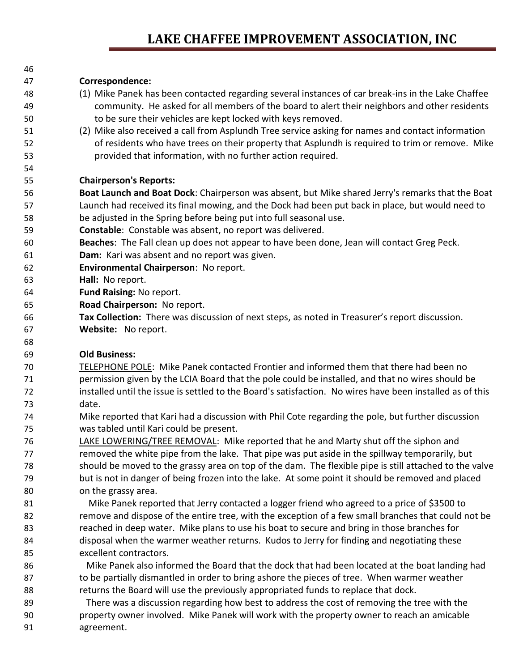## **LAKE CHAFFEE IMPROVEMENT ASSOCIATION, INC**

| 46 |                                                                                                    |
|----|----------------------------------------------------------------------------------------------------|
| 47 | Correspondence:                                                                                    |
| 48 | (1) Mike Panek has been contacted regarding several instances of car break-ins in the Lake Chaffee |
| 49 | community. He asked for all members of the board to alert their neighbors and other residents      |
| 50 | to be sure their vehicles are kept locked with keys removed.                                       |
| 51 | (2) Mike also received a call from Asplundh Tree service asking for names and contact information  |
| 52 | of residents who have trees on their property that Asplundh is required to trim or remove. Mike    |
| 53 | provided that information, with no further action required.                                        |
| 54 |                                                                                                    |
| 55 | <b>Chairperson's Reports:</b>                                                                      |
| 56 | Boat Launch and Boat Dock: Chairperson was absent, but Mike shared Jerry's remarks that the Boat   |
| 57 | Launch had received its final mowing, and the Dock had been put back in place, but would need to   |
| 58 | be adjusted in the Spring before being put into full seasonal use.                                 |
| 59 | Constable: Constable was absent, no report was delivered.                                          |
| 60 | Beaches: The Fall clean up does not appear to have been done, Jean will contact Greg Peck.         |
| 61 | Dam: Kari was absent and no report was given.                                                      |
| 62 | Environmental Chairperson: No report.                                                              |
| 63 | Hall: No report.                                                                                   |
| 64 | Fund Raising: No report.                                                                           |
| 65 | Road Chairperson: No report.                                                                       |
| 66 | Tax Collection: There was discussion of next steps, as noted in Treasurer's report discussion.     |
| 67 | Website: No report.                                                                                |
| 68 |                                                                                                    |
| 69 | <b>Old Business:</b>                                                                               |
| 70 | TELEPHONE POLE: Mike Panek contacted Frontier and informed them that there had been no             |
| 71 | parmission given by the LCIA Roard that the nole could be installed, and that no wires should be   |

- permission given by the LCIA Board that the pole could be installed, and that no wires should be installed until the issue is settled to the Board's satisfaction. No wires have been installed as of this date.
- Mike reported that Kari had a discussion with Phil Cote regarding the pole, but further discussion was tabled until Kari could be present.
- LAKE LOWERING/TREE REMOVAL: Mike reported that he and Marty shut off the siphon and removed the white pipe from the lake. That pipe was put aside in the spillway temporarily, but should be moved to the grassy area on top of the dam. The flexible pipe is still attached to the valve but is not in danger of being frozen into the lake. At some point it should be removed and placed on the grassy area.
- Mike Panek reported that Jerry contacted a logger friend who agreed to a price of \$3500 to remove and dispose of the entire tree, with the exception of a few small branches that could not be reached in deep water. Mike plans to use his boat to secure and bring in those branches for disposal when the warmer weather returns. Kudos to Jerry for finding and negotiating these excellent contractors.
- Mike Panek also informed the Board that the dock that had been located at the boat landing had 87 to be partially dismantled in order to bring ashore the pieces of tree. When warmer weather returns the Board will use the previously appropriated funds to replace that dock.
- There was a discussion regarding how best to address the cost of removing the tree with the property owner involved. Mike Panek will work with the property owner to reach an amicable agreement.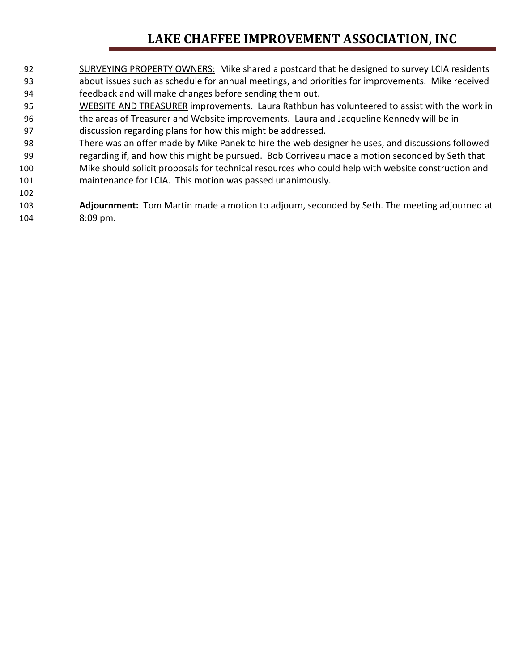# **LAKE CHAFFEE IMPROVEMENT ASSOCIATION, INC**

- SURVEYING PROPERTY OWNERS: Mike shared a postcard that he designed to survey LCIA residents about issues such as schedule for annual meetings, and priorities for improvements. Mike received feedback and will make changes before sending them out.
- 95 WEBSITE AND TREASURER improvements. Laura Rathbun has volunteered to assist with the work in the areas of Treasurer and Website improvements. Laura and Jacqueline Kennedy will be in discussion regarding plans for how this might be addressed.
- There was an offer made by Mike Panek to hire the web designer he uses, and discussions followed regarding if, and how this might be pursued. Bob Corriveau made a motion seconded by Seth that Mike should solicit proposals for technical resources who could help with website construction and maintenance for LCIA. This motion was passed unanimously.

 **Adjournment:** Tom Martin made a motion to adjourn, seconded by Seth. The meeting adjourned at 8:09 pm.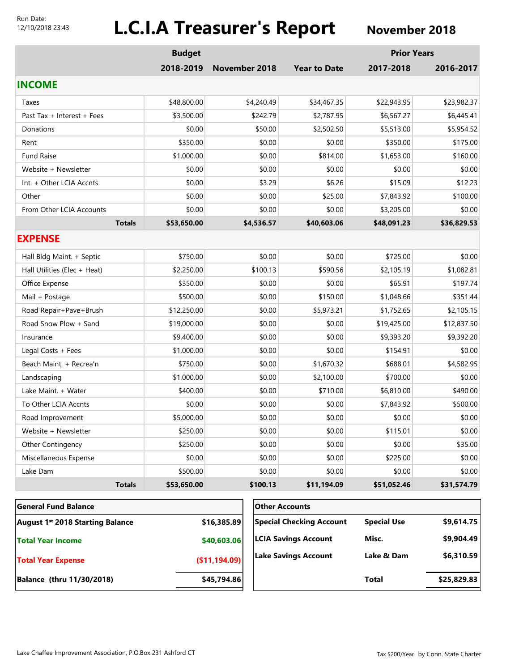#### Run Date: 12/10/2018 23:43

# **L.C.I.A Treasurer's Report** November 2018

|                                         | <b>Budget</b> |                                 |            |                             | <b>Prior Years</b> |             |
|-----------------------------------------|---------------|---------------------------------|------------|-----------------------------|--------------------|-------------|
|                                         | 2018-2019     | <b>November 2018</b>            |            | <b>Year to Date</b>         | 2017-2018          | 2016-2017   |
| <b>INCOME</b>                           |               |                                 |            |                             |                    |             |
| Taxes                                   | \$48,800.00   |                                 | \$4,240.49 | \$34,467.35                 | \$22,943.95        | \$23,982.37 |
| Past Tax + Interest + Fees              | \$3,500.00    |                                 | \$242.79   | \$2,787.95                  | \$6,567.27         | \$6,445.41  |
| Donations                               | \$0.00        |                                 | \$50.00    | \$2,502.50                  | \$5,513.00         | \$5,954.52  |
| Rent                                    | \$350.00      |                                 | \$0.00     | \$0.00                      | \$350.00           | \$175.00    |
| <b>Fund Raise</b>                       | \$1,000.00    |                                 | \$0.00     | \$814.00                    | \$1,653.00         | \$160.00    |
| Website + Newsletter                    | \$0.00        |                                 | \$0.00     | \$0.00                      | \$0.00             | \$0.00      |
| Int. + Other LCIA Accnts                | \$0.00        |                                 | \$3.29     | \$6.26                      | \$15.09            | \$12.23     |
| Other                                   | \$0.00        |                                 | \$0.00     | \$25.00                     | \$7,843.92         | \$100.00    |
| From Other LCIA Accounts                | \$0.00        |                                 | \$0.00     | \$0.00                      | \$3,205.00         | \$0.00      |
| <b>Totals</b>                           | \$53,650.00   |                                 | \$4,536.57 | \$40,603.06                 | \$48,091.23        | \$36,829.53 |
| <b>EXPENSE</b>                          |               |                                 |            |                             |                    |             |
| Hall Bldg Maint. + Septic               | \$750.00      |                                 | \$0.00     | \$0.00                      | \$725.00           | \$0.00      |
| Hall Utilities (Elec + Heat)            | \$2,250.00    |                                 | \$100.13   | \$590.56                    | \$2,105.19         | \$1,082.81  |
| Office Expense                          | \$350.00      |                                 | \$0.00     | \$0.00                      | \$65.91            | \$197.74    |
| Mail + Postage                          | \$500.00      |                                 | \$0.00     | \$150.00                    | \$1,048.66         | \$351.44    |
| Road Repair+Pave+Brush                  | \$12,250.00   |                                 | \$0.00     | \$5,973.21                  | \$1,752.65         | \$2,105.15  |
| Road Snow Plow + Sand                   | \$19,000.00   |                                 | \$0.00     | \$0.00                      | \$19,425.00        | \$12,837.50 |
| Insurance                               | \$9,400.00    |                                 | \$0.00     | \$0.00                      | \$9,393.20         | \$9,392.20  |
| Legal Costs + Fees                      | \$1,000.00    |                                 | \$0.00     | \$0.00                      | \$154.91           | \$0.00      |
| Beach Maint. + Recrea'n                 | \$750.00      |                                 | \$0.00     | \$1,670.32                  | \$688.01           | \$4,582.95  |
| Landscaping                             | \$1,000.00    |                                 | \$0.00     | \$2,100.00                  | \$700.00           | \$0.00      |
| Lake Maint. + Water                     | \$400.00      |                                 | \$0.00     | \$710.00                    | \$6,810.00         | \$490.00    |
| To Other LCIA Accnts                    | \$0.00        |                                 | \$0.00     | \$0.00                      | \$7,843.92         | \$500.00    |
| Road Improvement                        | \$5,000.00    |                                 | \$0.00     | \$0.00                      | \$0.00             | \$0.00      |
| Website + Newsletter                    | \$250.00      |                                 | \$0.00     | \$0.00                      | \$115.01           | \$0.00      |
| Other Contingency                       | \$250.00      |                                 | \$0.00     | \$0.00                      | \$0.00             | \$35.00     |
| Miscellaneous Expense                   | \$0.00        |                                 | \$0.00     | \$0.00                      | \$225.00           | \$0.00      |
| Lake Dam                                | \$500.00      |                                 | \$0.00     | \$0.00                      | \$0.00             | \$0.00      |
| <b>Totals</b>                           | \$53,650.00   |                                 | \$100.13   | \$11,194.09                 | \$51,052.46        | \$31,574.79 |
| <b>General Fund Balance</b>             |               |                                 |            | <b>Other Accounts</b>       |                    |             |
| <b>August 1st 2018 Starting Balance</b> | \$16,385.89   | <b>Special Checking Account</b> |            | <b>Special Use</b>          | \$9,614.75         |             |
| <b>Total Year Income</b>                |               | \$40,603.06                     |            | <b>LCIA Savings Account</b> | Misc.              | \$9,904.49  |
| <b>Total Year Expense</b>               |               | (\$11,194.09)                   |            | <b>Lake Savings Account</b> | Lake & Dam         | \$6,310.59  |

**Balance (thru 11/30/2018) \$45,794.86**

**Total \$25,829.83**